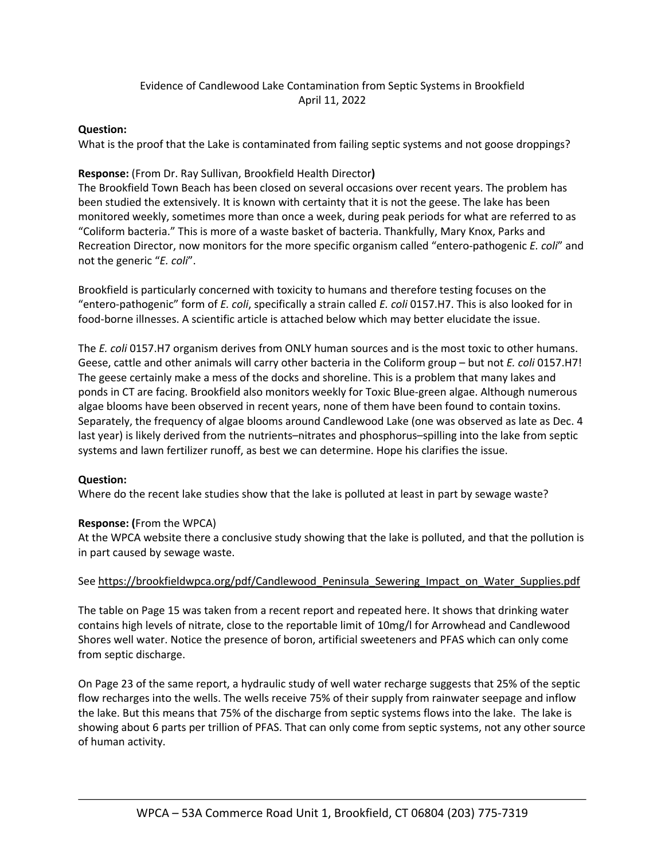## Evidence of Candlewood Lake Contamination from Septic Systems in Brookfield April 11, 2022

#### **Question:**

What is the proof that the Lake is contaminated from failing septic systems and not goose droppings?

### **Response:** (From Dr. Ray Sullivan, Brookfield Health Director**)**

The Brookfield Town Beach has been closed on several occasions over recent years. The problem has been studied the extensively. It is known with certainty that it is not the geese. The lake has been monitored weekly, sometimes more than once a week, during peak periods for what are referred to as "Coliform bacteria." This is more of a waste basket of bacteria. Thankfully, Mary Knox, Parks and Recreation Director, now monitors for the more specific organism called "entero-pathogenic *E. coli*" and not the generic "*E. coli*".

Brookfield is particularly concerned with toxicity to humans and therefore testing focuses on the "entero-pathogenic" form of *E. coli*, specifically a strain called *E. coli* 0157.H7. This is also looked for in food-borne illnesses. A scientific article is attached below which may better elucidate the issue.

The *E. coli* 0157.H7 organism derives from ONLY human sources and is the most toxic to other humans. Geese, cattle and other animals will carry other bacteria in the Coliform group – but not *E. coli* 0157.H7! The geese certainly make a mess of the docks and shoreline. This is a problem that many lakes and ponds in CT are facing. Brookfield also monitors weekly for Toxic Blue-green algae. Although numerous algae blooms have been observed in recent years, none of them have been found to contain toxins. Separately, the frequency of algae blooms around Candlewood Lake (one was observed as late as Dec. 4 last year) is likely derived from the nutrients–nitrates and phosphorus–spilling into the lake from septic systems and lawn fertilizer runoff, as best we can determine. Hope his clarifies the issue.

#### **Question:**

Where do the recent lake studies show that the lake is polluted at least in part by sewage waste?

#### **Response: (**From the WPCA)

At the WPCA website there a conclusive study showing that the lake is polluted, and that the pollution is in part caused by sewage waste.

#### See https://brookfieldwpca.org/pdf/Candlewood\_Peninsula\_Sewering\_Impact\_on\_Water\_Supplies.pdf

The table on Page 15 was taken from a recent report and repeated here. It shows that drinking water contains high levels of nitrate, close to the reportable limit of 10mg/l for Arrowhead and Candlewood Shores well water. Notice the presence of boron, artificial sweeteners and PFAS which can only come from septic discharge.

On Page 23 of the same report, a hydraulic study of well water recharge suggests that 25% of the septic flow recharges into the wells. The wells receive 75% of their supply from rainwater seepage and inflow the lake. But this means that 75% of the discharge from septic systems flows into the lake. The lake is showing about 6 parts per trillion of PFAS. That can only come from septic systems, not any other source of human activity.